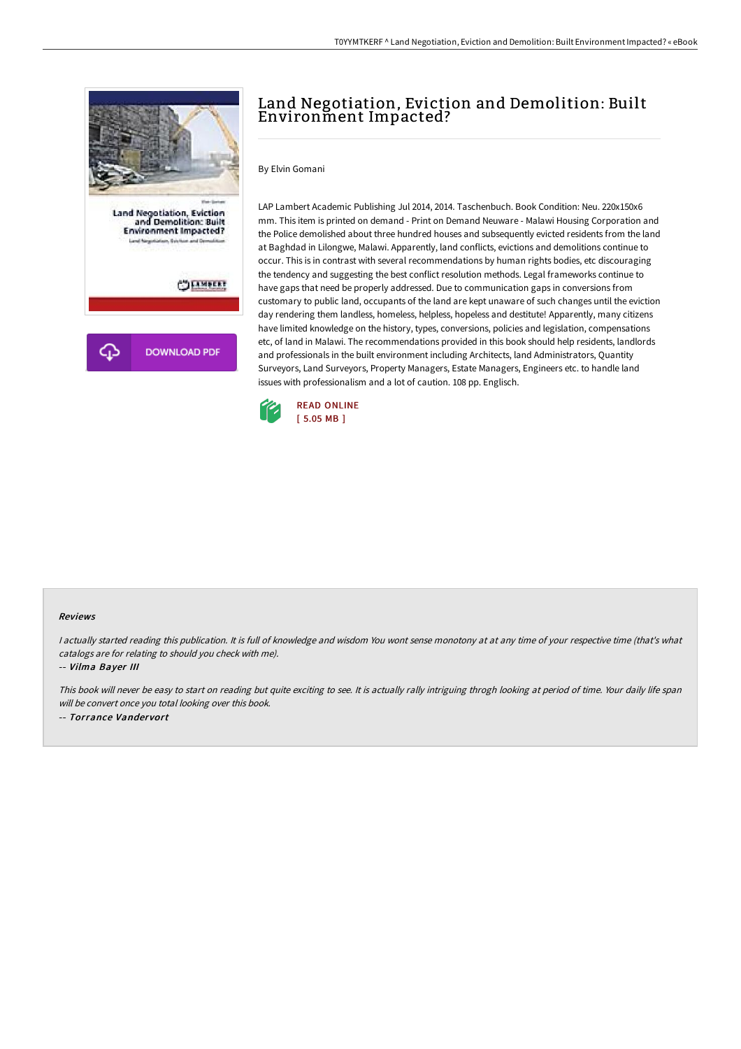

## Land Negotiation, Eviction and Demolition: Built Environment Impacted?

By Elvin Gomani

LAP Lambert Academic Publishing Jul 2014, 2014. Taschenbuch. Book Condition: Neu. 220x150x6 mm. This item is printed on demand - Print on Demand Neuware - Malawi Housing Corporation and the Police demolished about three hundred houses and subsequently evicted residents from the land at Baghdad in Lilongwe, Malawi. Apparently, land conflicts, evictions and demolitions continue to occur. This is in contrast with several recommendations by human rights bodies, etc discouraging the tendency and suggesting the best conflict resolution methods. Legal frameworks continue to have gaps that need be properly addressed. Due to communication gaps in conversions from customary to public land, occupants of the land are kept unaware of such changes until the eviction day rendering them landless, homeless, helpless, hopeless and destitute! Apparently, many citizens have limited knowledge on the history, types, conversions, policies and legislation, compensations etc, of land in Malawi. The recommendations provided in this book should help residents, landlords and professionals in the built environment including Architects, land Administrators, Quantity Surveyors, Land Surveyors, Property Managers, Estate Managers, Engineers etc. to handle land issues with professionalism and a lot of caution. 108 pp. Englisch.



## Reviews

I actually started reading this publication. It is full of knowledge and wisdom You wont sense monotony at at any time of your respective time (that's what catalogs are for relating to should you check with me).

-- Vilma Bayer III

This book will never be easy to start on reading but quite exciting to see. It is actually rally intriguing throgh looking at period of time. Your daily life span will be convert once you total looking over this book. -- Torrance Vandervort